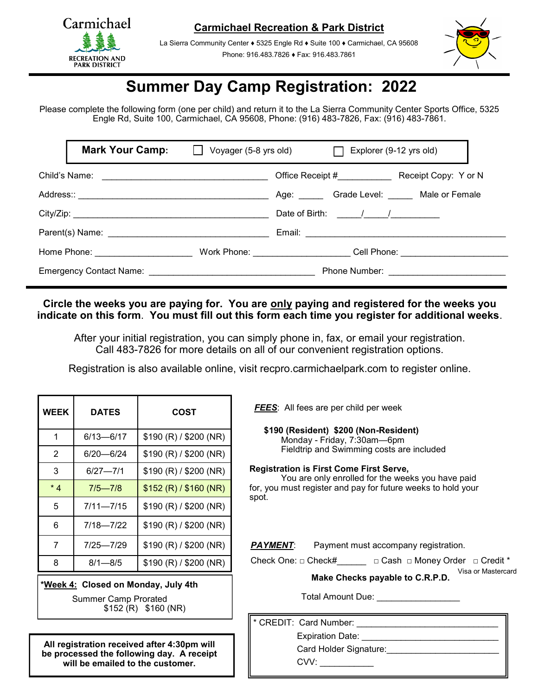

**Carmichael Recreation & Park District**

La Sierra Community Center ♦ 5325 Engle Rd ♦ Suite 100 ♦ Carmichael, CA 95608 Phone: 916.483.7826 ♦ Fax: 916.483.7861



## **Summer Day Camp Registration: 2022**

Please complete the following form (one per child) and return it to the La Sierra Community Center Sports Office, 5325 Engle Rd, Suite 100, Carmichael, CA 95608, Phone: (916) 483-7826, Fax: (916) 483-7861.

|                                                                                                                                                                                                                                | <b>Mark Your Camp:</b>                                                                                         |  | Voyager (5-8 yrs old) $\Box$ | Explorer (9-12 yrs old)                                                                                                                                                                                                                                                                                                                                                                                           |                                       |
|--------------------------------------------------------------------------------------------------------------------------------------------------------------------------------------------------------------------------------|----------------------------------------------------------------------------------------------------------------|--|------------------------------|-------------------------------------------------------------------------------------------------------------------------------------------------------------------------------------------------------------------------------------------------------------------------------------------------------------------------------------------------------------------------------------------------------------------|---------------------------------------|
|                                                                                                                                                                                                                                |                                                                                                                |  |                              |                                                                                                                                                                                                                                                                                                                                                                                                                   | Office Receipt # Receipt Copy: Y or N |
|                                                                                                                                                                                                                                |                                                                                                                |  |                              |                                                                                                                                                                                                                                                                                                                                                                                                                   | Age: Grade Level: Male or Female      |
|                                                                                                                                                                                                                                |                                                                                                                |  |                              | Date of Birth: $\frac{1}{\sqrt{1-\frac{1}{2}}}\frac{1}{\sqrt{1-\frac{1}{2}}}\frac{1}{\sqrt{1-\frac{1}{2}}}\frac{1}{\sqrt{1-\frac{1}{2}}}\frac{1}{\sqrt{1-\frac{1}{2}}}\frac{1}{\sqrt{1-\frac{1}{2}}}\frac{1}{\sqrt{1-\frac{1}{2}}}\frac{1}{\sqrt{1-\frac{1}{2}}}\frac{1}{\sqrt{1-\frac{1}{2}}}\frac{1}{\sqrt{1-\frac{1}{2}}}\frac{1}{\sqrt{1-\frac{1}{2}}}\frac{1}{\sqrt{1-\frac{1}{2}}}\frac{1}{\sqrt{1-\frac{1$ |                                       |
|                                                                                                                                                                                                                                | Parent(s) Name: Name: Name and Separate and Separate and Separate and Separate and Separate and Separate and S |  |                              |                                                                                                                                                                                                                                                                                                                                                                                                                   |                                       |
|                                                                                                                                                                                                                                |                                                                                                                |  |                              |                                                                                                                                                                                                                                                                                                                                                                                                                   | Cell Phone: ___________________       |
| Emergency Contact Name: Name: Name: Name and Alliance Contact Name and Alliance Contact Alliance Contact Alliance Contact Alliance Contact Alliance Contact Alliance Contact Alliance Contact Alliance Contact Alliance Contac |                                                                                                                |  |                              |                                                                                                                                                                                                                                                                                                                                                                                                                   |                                       |

**Circle the weeks you are paying for. You are only paying and registered for the weeks you indicate on this form**. **You must fill out this form each time you register for additional weeks**.

After your initial registration, you can simply phone in, fax, or email your registration. Call 483-7826 for more details on all of our convenient registration options.

Registration is also available online, visit recpro.carmichaelpark.com to register online.

| <b>WEEK</b> | <b>DATES</b>  | COST                   |  |  |  |  |
|-------------|---------------|------------------------|--|--|--|--|
| 1           | 6/13—6/17     | \$190 (R) / \$200 (NR) |  |  |  |  |
| 2           | 6/20—6/24     | \$190 (R) / \$200 (NR) |  |  |  |  |
| 3           | $6/27 - 7/1$  | \$190 (R) / \$200 (NR) |  |  |  |  |
| $*4$        | $7/5 - 7/8$   | \$152 (R) / \$160 (NR) |  |  |  |  |
| 5           | 7/11—7/15     | \$190 (R) / \$200 (NR) |  |  |  |  |
| 6           | $7/18 - 7/22$ | \$190 (R) / \$200 (NR) |  |  |  |  |
| 7           | 7/25-7/29     | \$190 (R) / \$200 (NR) |  |  |  |  |
| 8           | $8/1 - 8/5$   | \$190 (R) / \$200 (NR) |  |  |  |  |
|             |               |                        |  |  |  |  |

**\*Week 4: Closed on Monday, July 4th** 

Summer Camp Prorated \$152 (R) \$160 (NR)

**All registration received after 4:30pm will be processed the following day. A receipt will be emailed to the customer.**

*FEES*: All fees are per child per week

 **\$190 (Resident) \$200 (Non-Resident)** Monday - Friday, 7:30am—6pm Fieldtrip and Swimming costs are included

**Registration is First Come First Serve,**

You are only enrolled for the weeks you have paid for, you must register and pay for future weeks to hold your spot.

**PAYMENT:** Payment must accompany registration.

Check One: □ Check#\_\_\_\_\_\_ □ Cash □ Money Order □ Credit \* Visa or Mastercard

**Make Checks payable to C.R.P.D.**

Total Amount Due: \_\_\_\_\_\_\_\_\_\_\_\_\_\_\_\_\_\_\_

\* CREDIT: Card Number:

Expiration Date:

Card Holder Signature:

CVV: \_\_\_\_\_\_\_\_\_\_\_